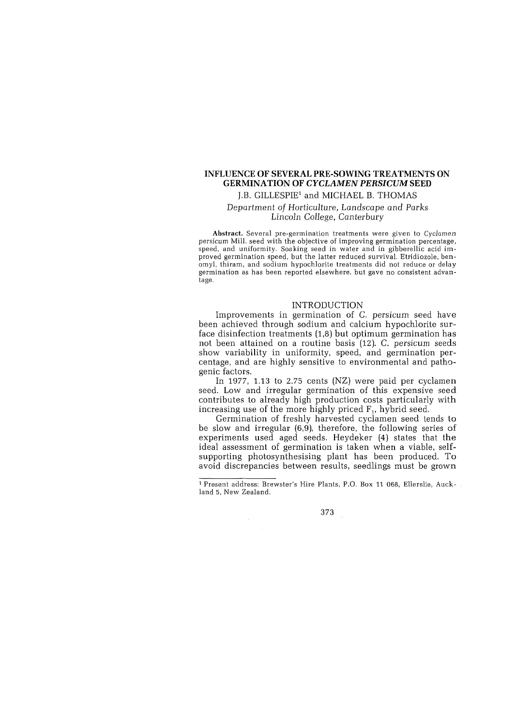# **INFLUENCE OF SEVERAL PRE-SOWING TREATMENTS ON GERMINATION OF** *CYCLAMEN PERSICUM* **SEED**  J.B. GILLESPIE<sup>1</sup> and MICHAEL B. THOMAS

# Department of Horticulture, Landscape and Parks

*Lincoln College,* Canterbury

Abstract. Several pre-germination treatments were given to *Cyclamen*  persicum Mill. seed with the objective of improving germination percentage, speed, and uniformity. Soaking seed in water and in gibberellic acid improved germination speed, but the latter reduced survival. Etridiozole, benomyl, thiram, and sodium hypochlorite treatments did not reduce or delay germination as has been reported elsewhere, but gave no consistent advantage.

## INTRODUCTION

Improvements in germination of C. persicum seed have been achieved through sodium and calcium hypochlorite surface disinfection treatments (1,8) but optimum germination has not been attained on a routine basis (12). C. persicum seeds show variability in uniformity, speed, and germination percentage, and are highly sensitive to environmental and pathogenic factors.

In 1977, 1.13 to 2.75 cents (NZ) were paid per cyclamen seed. Low and irregular germination of this expensive seed contributes to already high production costs particularly with increasing use of the more highly priced  $F_1$ , hybrid seed.

Germination of freshly harvested cyclamen seed tends to be slow and irregular (6,9), therefore, the following series of experiments used aged seeds. Heydeker (4) states that the ideal assessment of germination is taken when a viable, selfsupporting photosynthesising plant has been produced. To avoid discrepancies between results, seedlings must be grown

<sup>1</sup> Present address: Brewster's Hire Plants, P.O. Box 11 068, Ellerslie, Auckland 5, New Zealand.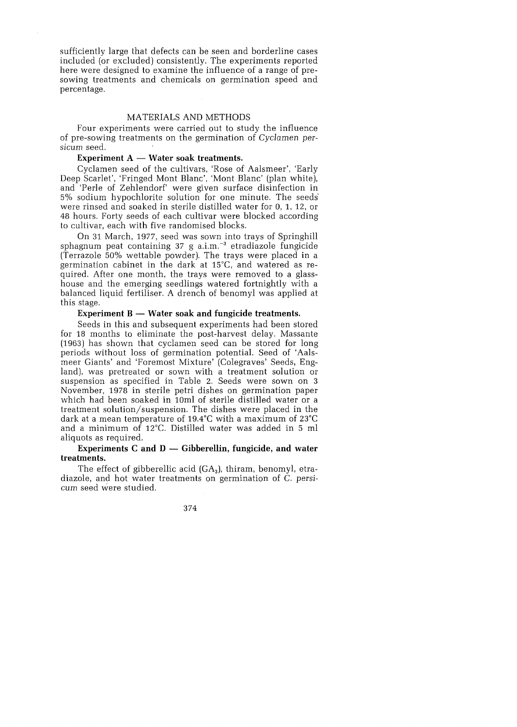sufficiently large that defects can be seen and borderline cases included (or excluded) consistently. The experiments reported here were designed to examine the influence of a range of presowing treatments and chemicals on germination speed and percentage.

#### MA TERIALS AND METHODS

Four experiments were carried out to study the influence of pre-sowing treatments on the germination of Cyclamen persicum seed.

## **Experiment A – Water soak treatments.**

Cyclamen seed of the cultivars, 'Rose of Aalsmeer', 'Early Deep Scarlet', 'Fringed Mont Blanc', 'Mont Blanc' (plan white), and 'Perle of Zehlendorf' were given surface disinfection in 5% sodium hypochlorite solution for one minute. The seeds' were rinsed and soaked in sterile distilled water for 0, 1, 12, or 48 hours. Forty seeds of each cultivar were blocked according to cultivar, each with five randomised blocks.

On 31 March, 1977, seed was sown into trays of Springhill sphagnum peat containing  $37 \text{ g a.i.m.}^{-3}$  etradiazole fungicide (Terrazole 50% wettable powder). The trays were placed in a germination cabinet in the dark at 15°C, and watered as required. After one month, the trays were removed to a glasshouse and the emerging seedlings watered fortnightly with a balanced liquid fertiliser. A drench of benomyl was applied at this stage.

## **Experiment B — Water soak and fungicide treatments.**

Seeds in this and subsequent experiments had been stored for 18 months to eliminate the post-harvest delay. Massante (1963) has shown that cyclamen seed can be stored for long periods without loss of germination potential. Seed of 'Aalsmeer Giants' and 'Foremost Mixture' (Colegraves' Seeds, England), was pretreated or sown with a treatment solution or suspension as specified in Table 2. Seeds were sown on 3 November, 1978 in sterile petri dishes on germination paper which had been soaked in 10ml of sterile distilled water or a treatment solution/suspension. The dishes were placed in the dark at a mean temperature of 19.4°C with a maximum of 23°C and a minimum of 12°C. Distilled water was added in 5 ml aliquots as required.

### **Experiments C and D — Gibberellin, fungicide, and water treatments.**

The effect of gibberellic acid  $(GA_3)$ , thiram, benomyl, etradiazole, and hot water treatments on germination of C. persicum seed were studied.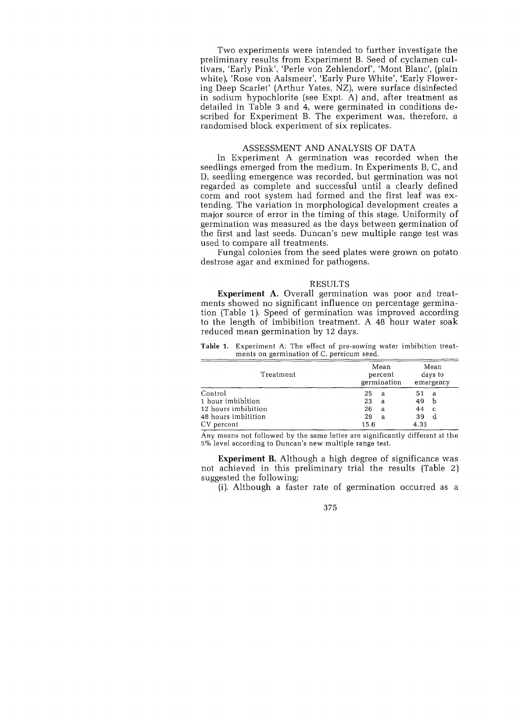Two experiments were intended to further investigate the preliminary results from Experiment B. Seed of cyclamen cultivars, 'Early Pink', 'Perle von Zehlendorf', 'Mont Blanc', (plain white), 'Rose von Aalsmeer', 'Early Pure White', 'Early Flowering Deep Scarlet' (Arthur Yates, NZ), were surface disinfected in sodium hypochlorite (see Expt. A) and, after treatment as detailed in Table 3 and 4, were germinated in conditions described for Experiment B. The experiment was, therefore, a randomised block experiment of six replicates.

## ASSESSMENT AND ANALYSIS OF DATA

In Experiment A germination was recorded when the seedlings emerged from the medium. In Experiments B, C, and D, seedling emergence was recorded, but germination was not regarded as complete and successful until a clearly defined corm and root system had formed and the first leaf was extending. The variation in morphological development creates a major source of error in the timing of this stage. Uniformity of germination was measured as the days between germination of the first and last seeds. Duncan's new multiple range test was used to compare all treatments.

Fungal colonies from the seed plates were grown on potato destrose agar and exmined for pathogens.

#### RESULTS

**Experiment A.** Overall germination was poor and treatments showed no significant influence on percentage germination (Table 1). Speed of germination was improved according to the length of imbibition treatment. A 48 hour water soak reduced mean germination by 12 days.

| Treatment           | Mean<br>percent<br>germination | Mean<br>days to<br>emergency |  |
|---------------------|--------------------------------|------------------------------|--|
| Control             | 25<br>a                        | 51<br>a                      |  |
| 1 hour imbibition   | 23<br>a                        | 49<br>b                      |  |
| 12 hours imbibition | 26<br>a                        | 44<br>C                      |  |
| 48 hours imbitition | 29<br>a                        | 39<br>d                      |  |
| CV percent          | 15.6                           | 4.33                         |  |

**Table 1.** Experiment A: The effect of pre-sowing water imbibition treatments on germination of C. persicum seed.

Any means not followed by the same letter are significantly different at the 5% level according to Duncan's new multiple range test.

**Experiment B.** Although a high degree of significance was not achieved in this preliminary trial the results (Table 2) suggested the following:

(i). Although a faster rate of germination occurred as  $a^{\circ}$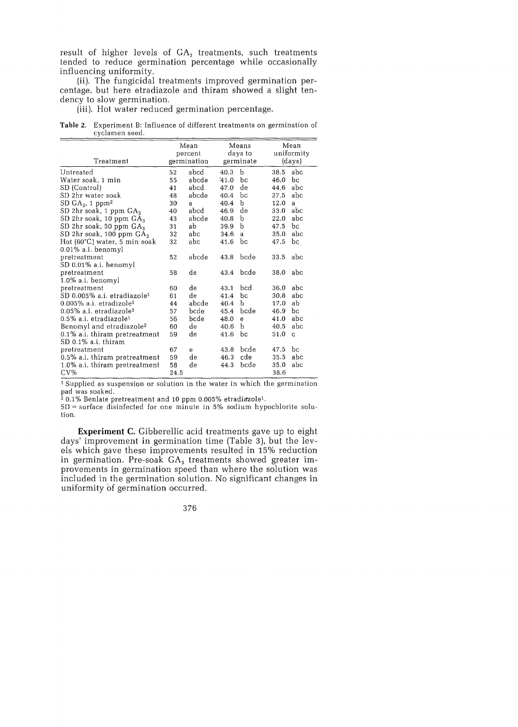result of higher levels of  $GA_3$  treatments, such treatments tended to reduce germination percentage while occasionally influencing uniformity.

(ii). The fungicidal treatments improved germination percentage, but here etradiazole and thiram showed a slight tendency to slow germination.

(iii). Hot water reduced germination percentage.

**Table** 2. Experiment B: Influence of different treatments on germination of cyclamen seed.

|                                         | Mean<br>percent |             | Means<br>days to |              | Mean<br>uniformity |     |
|-----------------------------------------|-----------------|-------------|------------------|--------------|--------------------|-----|
| Treatment                               | germination     |             | germinate        |              | (days)             |     |
| Untreated                               | 52              | abcd        | 40.3             | b            | 38.5               | abc |
| Water soak, 1 min                       | 55              | abcde       | 41.0             | Ъc           | 46.0               | bс  |
| SD (Control)                            | 41              | abcd        | 47.0             | $_{\rm de}$  | 44.6               | abc |
| SD 2hr water soak                       | 48              | abcde       | 40.4             | bc           | 27.5               | abc |
| SD $GA_3$ , 1 ppm <sup>2</sup>          | 30              | a           | 40.4             | b            | 12.0               | a   |
| SD 2hr soak, 1 ppm $GA_3$               | 40              | abcd        | 46.9             | de           | 33.0               | abc |
| SD 2hr soak, 10 ppm $GA_3$ .            | 43              | abcde       | 40.8             | b            | 22.0               | abc |
| SD 2hr soak, 50 ppm $GA_3$              | 31              | ab          | 39.9             | b            | 47.5               | bс  |
| SD 2hr soak, 100 ppm $GA_3$             | 32              | abc         | 34.6             | a            | 35.0               | abc |
| Hot (60°C) water, 5 min soak            | 32              | abc         | 41.6             | bс           | 47.5               | bc  |
| 0.01% a.i. benomyl                      |                 |             |                  |              |                    |     |
| pretreatment                            | 52              | abcde       | 43.8             | bcde         | 33.5               | abc |
| SD 0.01% a.i. benomyl                   |                 |             |                  |              |                    |     |
| pretreatment                            | 58              | de          | 43.4             | bcde         | 38.0               | abc |
| 1.0% a.i. benomyl                       |                 |             |                  |              |                    |     |
| pretreatment                            | 60              | de          | 43.1             | bcd          | 36.0               | abc |
| SD 0.005% a.i. etradiazole <sup>1</sup> | 61              | de          | 41.4             | bc           | 30.8               | abc |
| $0.005\%$ a.i. etradizole <sup>1</sup>  | 44              | abcde       | 40.4             | b            | 17.0               | ab  |
| $0.05\%$ a.i. etradiazole <sup>1</sup>  | 57              | bcde        | 45.4             | bcde         | 46.9               | bc  |
| 0.5% a.i. etradiazole <sup>1</sup>      | 56              | bcde        | 48.0             | $\mathbf{e}$ | 41.0               | abc |
| Benomyl and etradiazole <sup>2</sup>    | 60              | de          | 40.6             | b            | 40.5               | abc |
| 0.1% a.i. thiram pretreatment           | 59              | de          | 41.6             | bc           | 51.0               | C   |
| SD 0.1% a.i. thiram                     |                 |             |                  |              |                    |     |
| pretreatment                            | 67              | e           | 43.8             | bcde         | 47.5               | bс  |
| 0.5% a.i. thiram pretreatment           | 59              | $_{\rm de}$ | 46.3             | cde          | 35.5               | abc |
| 1.0% a.i. thiram pretreatment           | 58              | de          | 44.3             | bcde         | 35.0               | abc |
| CV%                                     | 24.5            |             |                  |              | 38.6               |     |

1 Supplied as suspension or solution in the water in whieh the germination pad was soaked.

<sup>2</sup> 0.1% Benlate pretreatment and 10 ppm 0.005% etradiazole<sup>1</sup>.

 $SD = surface$  disinfected for one minute in 5% sodium hypochlorite solution.

**Experiment C.** Gibberellic acid treatments gave up to eight days' improvement in germination time (Table 3), but the levels which gave these improvements resulted in 15% reduction in germination. Pre-soak  $GA_3$  treatments showed greater improvements in germination speed than where the solution was included in the germination solution. No significant changes in uniformity of germination occurred.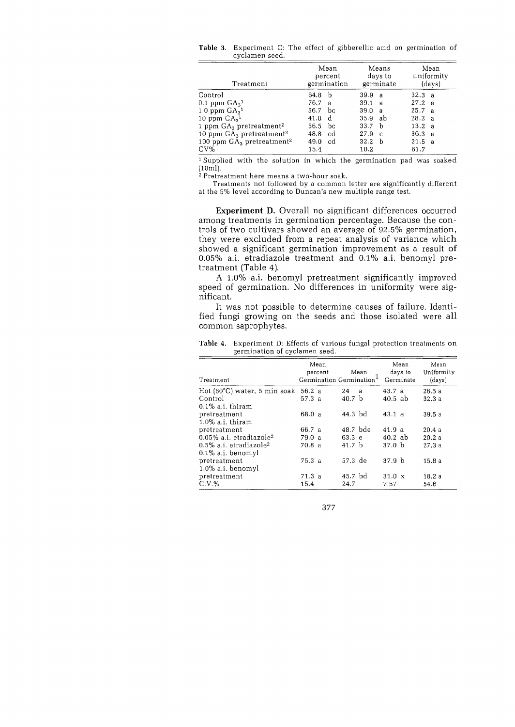| Treatment                                | Mean<br>percent<br>germination |               |                   | Means<br>days to<br>germinate | Mean<br>uniformity<br>(days) |  |  |
|------------------------------------------|--------------------------------|---------------|-------------------|-------------------------------|------------------------------|--|--|
| Control                                  | 64.8                           | - b           | 39.9 a            |                               | 32.3 a                       |  |  |
| 0.1 ppm $GA_3$ <sup>1</sup>              | 76.7                           | $\mathbf{a}$  | 39.1 a            |                               | 27.2 a                       |  |  |
| 1.0 ppm $GA_3$ <sup>1</sup>              | 56.7                           | bc            | 39.0              | $\overline{a}$                | 25.7 a                       |  |  |
| 10 ppm $GA_3$ <sup>1</sup>               | 41.8                           | $\mathbf{d}$  | 35.9 ab           |                               | 28.2 a                       |  |  |
| 1 ppm $GA_3$ pretreatment <sup>2</sup>   | 56.5                           | bc            | 33.7 <sub>b</sub> |                               | 13.2 a                       |  |  |
| 10 ppm $GA_3$ pretreatment <sup>2</sup>  | 48.8                           | cd            | 27.9              | - C                           | 36.3 a                       |  |  |
| 100 ppm $GA_3$ pretreatment <sup>2</sup> | 49.0                           | <sub>cd</sub> | 32.2 <sub>b</sub> |                               | 21.5 a                       |  |  |
| $CV\%$                                   | 15.4                           |               | 10.2              |                               | 61.7                         |  |  |

**Table** 3. Experiment C: The effect of gibberellic acid on germination of cyclamen seed.

1 Supplied with the solution in which the germination pad was soaked  $(10m)$ .

2 Pretreatment here means a two-hour soak.

Treatments not followed by a common letter are significantly different at the 5% level according to Duncan's new multiple range test.

**Experiment D.** Overall no significant differences occurred among treatments in germination percentage. Because the controls of two cultivars showed an average of 92.5% germination, they were excluded from a repeat analysis of variance which showed a significant germination improvement as a result of  $0.05\%$  a.i. etradiazole treatment and  $0.1\%$  a.i. benomyl pretreatment (Table 4).

A 1.0% a.i. benomyl pretreatment significantly improved speed of germination. No differences in uniformity were significant.

It was not possible to determine causes of failure. Identified fungi growing on the seeds and those isolated were all common saprophytes.

| Treatment                                     |        | Mean<br>percent<br>Germination Germination |                   | Mean |                   | Mean<br>days to<br>Germinate | Mean<br>Uniformity<br>(days) |
|-----------------------------------------------|--------|--------------------------------------------|-------------------|------|-------------------|------------------------------|------------------------------|
| Hot $(60^{\circ}$ C) water, 5 min soak 56.2 a |        |                                            | 24                | a    | 43.7 a            |                              | 26.5a                        |
| Control                                       | 57.3a  |                                            | 40.7 <sub>b</sub> |      | $40.5$ ab         |                              | 32.3a                        |
| $0.1\%$ a.i. thiram                           |        |                                            |                   |      |                   |                              |                              |
| pretreatment                                  | 68.0 a |                                            | 44.3 bd           |      | 43.1 a            |                              | 39.5 a                       |
| $1.0\%$ a.i. thiram                           |        |                                            |                   |      |                   |                              |                              |
| pretreatment                                  | 66.7 a |                                            | 48.7 bde          |      | 41.9a             |                              | 20.4a                        |
| $0.05\%$ a.i. etradiazole <sup>2</sup>        | 79.0a  |                                            | 63.3 e            |      | $40.2$ ab         |                              | 20.2a                        |
| $0.5\%$ a.i. etradiazole <sup>2</sup>         | 70.8 a |                                            | 41.7 <sub>b</sub> |      | 37.0 <sub>b</sub> |                              | 27.3a                        |
| $0.1\%$ a.i. benomyl                          |        |                                            |                   |      |                   |                              |                              |
| pretreatment                                  | 75.3a  |                                            | 57.3 de           |      | 37.9 <sub>b</sub> |                              | 15.8a                        |
| $1.0\%$ a.i. benomyl                          |        |                                            |                   |      |                   |                              |                              |
| pretreatment                                  | 71.3a  |                                            | 45.7 bd           |      | $31.0 \times$     |                              | 18.2a                        |
| $C.V.$ %                                      | 15.4   |                                            | 24.7              |      | 7.57              |                              | 54.6                         |

**Table** 4. Experiment D: Effects of various fungal protection treatments on germination of cyclamen seed.

377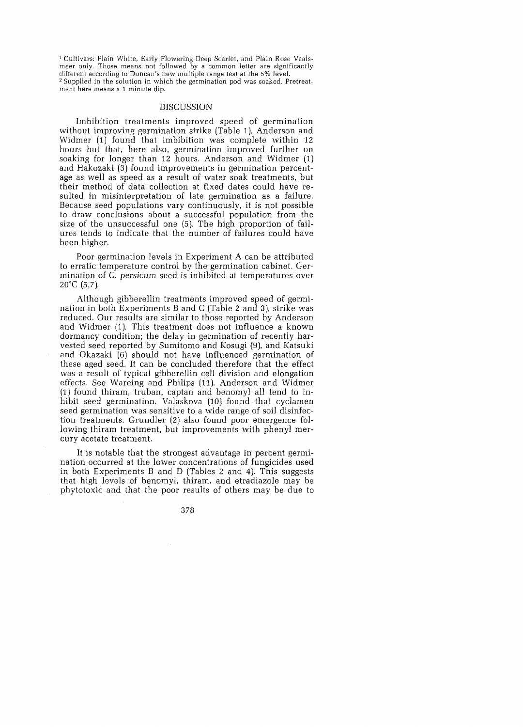1 Cultivars: Plain White, Early Flowering Deep Scarlet, and Plain Rose Vaalsmeer only. Those means not followed by a common letter are significantly different according to Duncan's new multiple range test at the 5% level. 2 Supplied in the solution in which the germination pod was soaked. Pretreatment here means a 1 minute dip.

#### DISCUSSION

Imbibition treatments improved speed of germination without improving germination strike (Table 1). Anderson and Widmer (1) found that imbibition was complete within 12 hours but that, here also, germination improved further on soaking for longer than 12 hours. Anderson and Widmer (1) and Hakozaki (3) found improvements in germination percentage as well as speed as a result of water soak treatments, but their method of data collection at fixed dates could have resulted in misinterpretation of late germination as a failure. Because seed populations vary continuously, it is not possible to draw conclusions about a successful population from the size of the unsuccessful one (5). The high proportion of failures tends to indicate that the number of failures could have been higher.

Poor germination levels in Experiment A can be attributed to erratic temperature control by the germination cabinet. Germination of C. persicum seed is inhibited at temperatures over  $20^{\circ}$ C (5,7).

Although gibberellin treatments improved speed of germination in both Experiments Band C (Table 2 and 3), strike was reduced. Our results are similar to those reported by Anderson and Widmer (1). This treatment does not influence a known dormancy condition; the delay in germination of recently harvested seed reported by Sumitomo and Kosugi (9), and Katsuki and Okazaki (6) should not have influenced germination of these aged seed. It can be concluded therefore that the effect was a result of typical gibberellin cell division and elongation effects. See Wareing and Philips (11). Anderson and Widmer (1) found thiram, truban, captan and benomyl all tend to inhibit seed germination. Valaskova (10) found that cyclamen seed germination was sensitive to a wide range of soil disinfection treatments. Grundler (2) also found poor emergence following thiram treatment, but improvements with phenyl mercury acetate treatment.

It is notable that the strongest advantage in percent germination occurred at the lower concentrations of fungicides used in both Experiments Band D (Tables 2 and 4). This suggests that high levels of benomyl, thiram, and etradiazole may be phytotoxic and that the poor results of others may be due to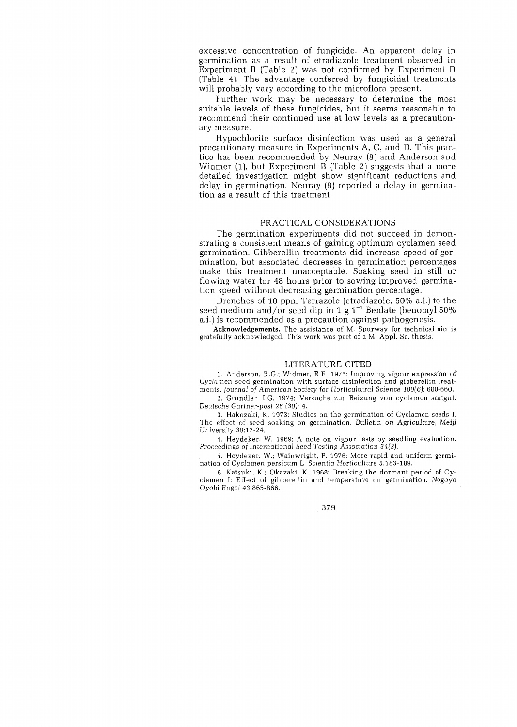excessive concentration of fungicide. An apparent delay in germination as a result of etradiazole treatment observed in Experiment B (Table 2) was not confirmed by Experiment D (Table 4). The advantage conferred by fungicidal treatments will probably vary according to the microflora present.

Further work may be necessary to determine the most suitable levels of these fungicides, but it seems reasonable to recommend their continued use at low levels as a precautionary measure.

Hypochlorite surface disinfection was used as a general precautionary measure in Experiments A, C, and D. This practice has been recommended by Neuray (8) and Anderson and Widmer (1), but Experiment B (Table 2) suggests that a more detailed investigation might show significant reductions and delay in germination. Neuray (8) reported a delay in germination as a result of this treatment.

# PRACTICAL CONSIDERATIONS

The germination experiments did not succeed in demonstrating a consistent means of gaining optimum cyclamen seed germination. Gibberellin treatments did increase speed of germination, but associated decreases in germination percentages make this treatment unacceptable. Soaking seed in still or flowing water for 48 hours prior to sowing improved germination speed without decreasing germination percentage.

Drenches of 10 ppm Terrazole (etradiazole, 50% a.i.) to the seed medium and/or seed dip in 1 g  $1^{-1}$  Benlate (benomyl 50%) a.i.) is recommended as a precaution against pathogenesis.

Acknowledgements. The assistance of M. Spurway for technical aid is gratefully acknowledged. This work was part of a M. Appl. Sc. thesis.

#### LITERA TURE CITED

1. Anderson, R.G.; Widmer, R.E. 1975: Improving vigour expression of *Cyclamen* seed germination with surface disinfection and gibberellin treatments. *Journal* of American Society for *Horticultural* Science 100(6): 600-660.

2. Grundler, I.G. 1974: Versuche zur Beizung von cyclamen saatgut. Deutsche Gartner-post 26 (30): 4.

3. Hakozaki, K. 1973: Studies on the germination of Cyclamen seeds 1. The effect of seed soaking on germination. *Bulletin* on *Agriculture,* Meiji University 30:17-24.

4. Heydeker, W. 1969: A note on vigour tests by seedling evaluation. Proceedings of *International* Seed Testing Association 34(2).

5. Heydeker, W.; Wainwright, P. 1976: More rapid and uniform germi- "nation of *Cyclamen* persicum 1. Scientia *Horticulture 5:183-189.* 

6. Katsuki, *K.;* Okazaki, K. 1968: Breaking the dormant period of Cyclamen I: Effect of gibberellin and temperature on germination. Nogoyo Oyobi Engei 43:865-866.